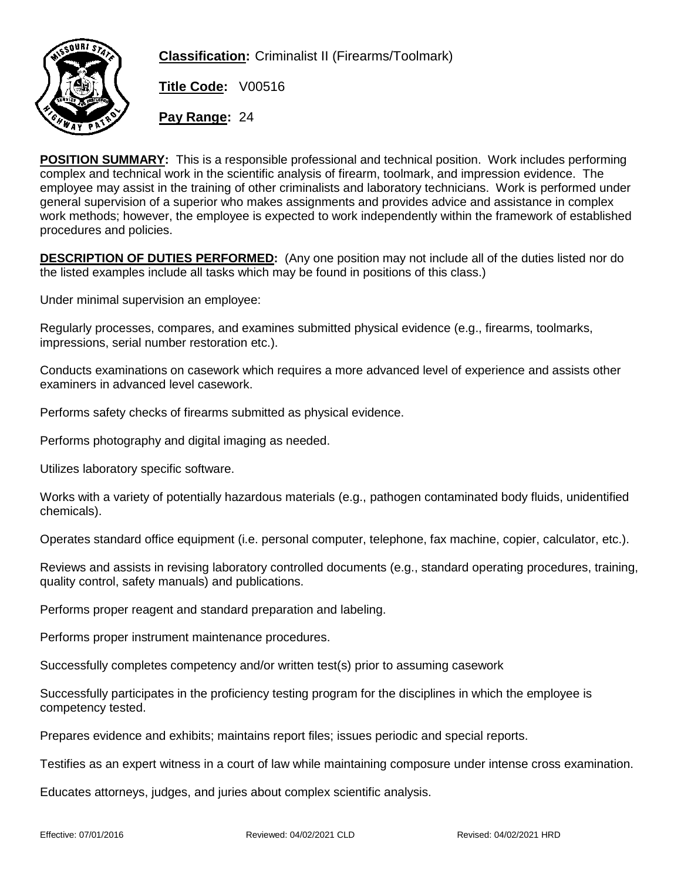

**Classification:** Criminalist II (Firearms/Toolmark)

**Title Code:** V00516

**Pay Range:** 24

POSITION SUMMARY: This is a responsible professional and technical position. Work includes performing complex and technical work in the scientific analysis of firearm, toolmark, and impression evidence. The employee may assist in the training of other criminalists and laboratory technicians. Work is performed under general supervision of a superior who makes assignments and provides advice and assistance in complex work methods; however, the employee is expected to work independently within the framework of established procedures and policies.

DESCRIPTION OF DUTIES PERFORMED: (Any one position may not include all of the duties listed nor do the listed examples include all tasks which may be found in positions of this class.)

Under minimal supervision an employee:

Regularly processes, compares, and examines submitted physical evidence (e.g., firearms, toolmarks, impressions, serial number restoration etc.).

Conducts examinations on casework which requires a more advanced level of experience and assists other examiners in advanced level casework.

Performs safety checks of firearms submitted as physical evidence.

Performs photography and digital imaging as needed.

Utilizes laboratory specific software.

Works with a variety of potentially hazardous materials (e.g., pathogen contaminated body fluids, unidentified chemicals).

Operates standard office equipment (i.e. personal computer, telephone, fax machine, copier, calculator, etc.).

Reviews and assists in revising laboratory controlled documents (e.g., standard operating procedures, training, quality control, safety manuals) and publications.

Performs proper reagent and standard preparation and labeling.

Performs proper instrument maintenance procedures.

Successfully completes competency and/or written test(s) prior to assuming casework

Successfully participates in the proficiency testing program for the disciplines in which the employee is competency tested.

Prepares evidence and exhibits; maintains report files; issues periodic and special reports.

Testifies as an expert witness in a court of law while maintaining composure under intense cross examination.

Educates attorneys, judges, and juries about complex scientific analysis.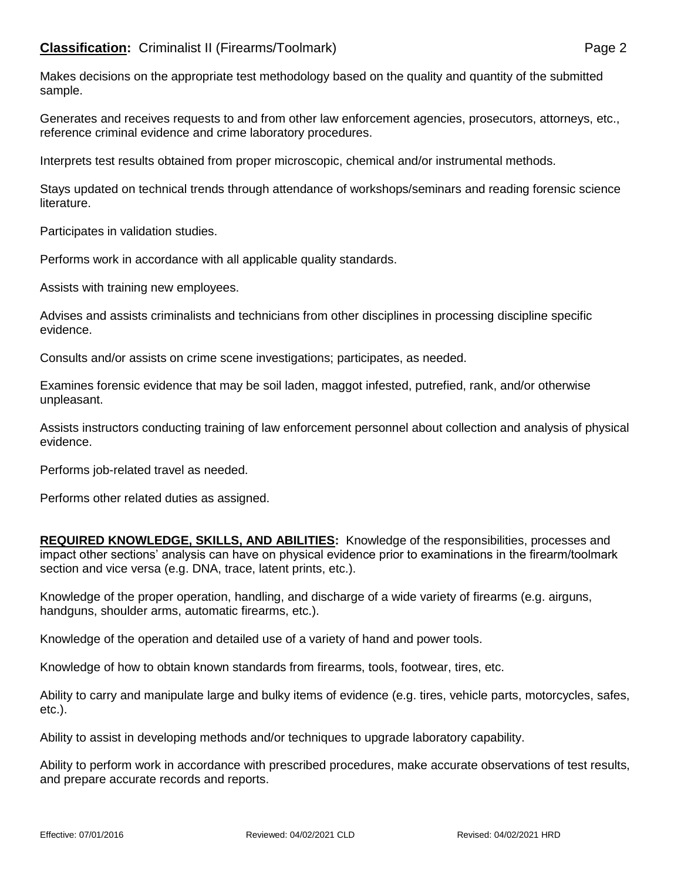Makes decisions on the appropriate test methodology based on the quality and quantity of the submitted sample.

Generates and receives requests to and from other law enforcement agencies, prosecutors, attorneys, etc., reference criminal evidence and crime laboratory procedures.

Interprets test results obtained from proper microscopic, chemical and/or instrumental methods.

Stays updated on technical trends through attendance of workshops/seminars and reading forensic science literature.

Participates in validation studies.

Performs work in accordance with all applicable quality standards.

Assists with training new employees.

Advises and assists criminalists and technicians from other disciplines in processing discipline specific evidence.

Consults and/or assists on crime scene investigations; participates, as needed.

Examines forensic evidence that may be soil laden, maggot infested, putrefied, rank, and/or otherwise unpleasant.

Assists instructors conducting training of law enforcement personnel about collection and analysis of physical evidence.

Performs job-related travel as needed.

Performs other related duties as assigned.

REQUIRED KNOWLEDGE, SKILLS, AND ABILITIES: Knowledge of the responsibilities, processes and impact other sections' analysis can have on physical evidence prior to examinations in the firearm/toolmark section and vice versa (e.g. DNA, trace, latent prints, etc.).

Knowledge of the proper operation, handling, and discharge of a wide variety of firearms (e.g. airguns, handguns, shoulder arms, automatic firearms, etc.).

Knowledge of the operation and detailed use of a variety of hand and power tools.

Knowledge of how to obtain known standards from firearms, tools, footwear, tires, etc.

Ability to carry and manipulate large and bulky items of evidence (e.g. tires, vehicle parts, motorcycles, safes, etc.).

Ability to assist in developing methods and/or techniques to upgrade laboratory capability.

Ability to perform work in accordance with prescribed procedures, make accurate observations of test results, and prepare accurate records and reports.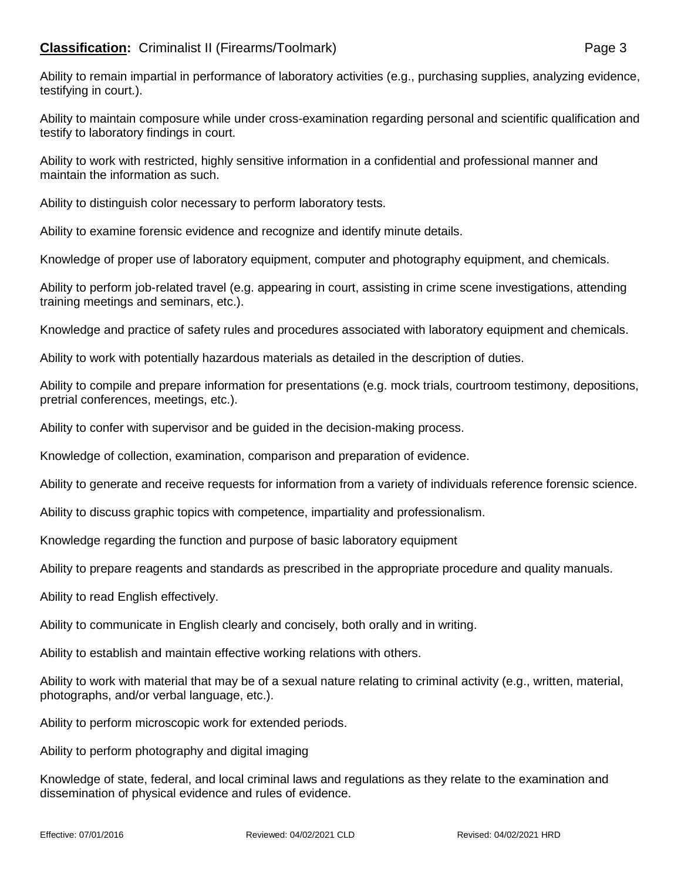## **Classification:** Criminalist II (Firearms/Toolmark) **Page 3** Page 3

Ability to remain impartial in performance of laboratory activities (e.g., purchasing supplies, analyzing evidence, testifying in court.).

Ability to maintain composure while under cross-examination regarding personal and scientific qualification and testify to laboratory findings in court.

Ability to work with restricted, highly sensitive information in a confidential and professional manner and maintain the information as such.

Ability to distinguish color necessary to perform laboratory tests.

Ability to examine forensic evidence and recognize and identify minute details.

Knowledge of proper use of laboratory equipment, computer and photography equipment, and chemicals.

Ability to perform job-related travel (e.g. appearing in court, assisting in crime scene investigations, attending training meetings and seminars, etc.).

Knowledge and practice of safety rules and procedures associated with laboratory equipment and chemicals.

Ability to work with potentially hazardous materials as detailed in the description of duties.

Ability to compile and prepare information for presentations (e.g. mock trials, courtroom testimony, depositions, pretrial conferences, meetings, etc.).

Ability to confer with supervisor and be guided in the decision-making process.

Knowledge of collection, examination, comparison and preparation of evidence.

Ability to generate and receive requests for information from a variety of individuals reference forensic science.

Ability to discuss graphic topics with competence, impartiality and professionalism.

Knowledge regarding the function and purpose of basic laboratory equipment

Ability to prepare reagents and standards as prescribed in the appropriate procedure and quality manuals.

Ability to read English effectively.

Ability to communicate in English clearly and concisely, both orally and in writing.

Ability to establish and maintain effective working relations with others.

Ability to work with material that may be of a sexual nature relating to criminal activity (e.g., written, material, photographs, and/or verbal language, etc.).

Ability to perform microscopic work for extended periods.

Ability to perform photography and digital imaging

Knowledge of state, federal, and local criminal laws and regulations as they relate to the examination and dissemination of physical evidence and rules of evidence.